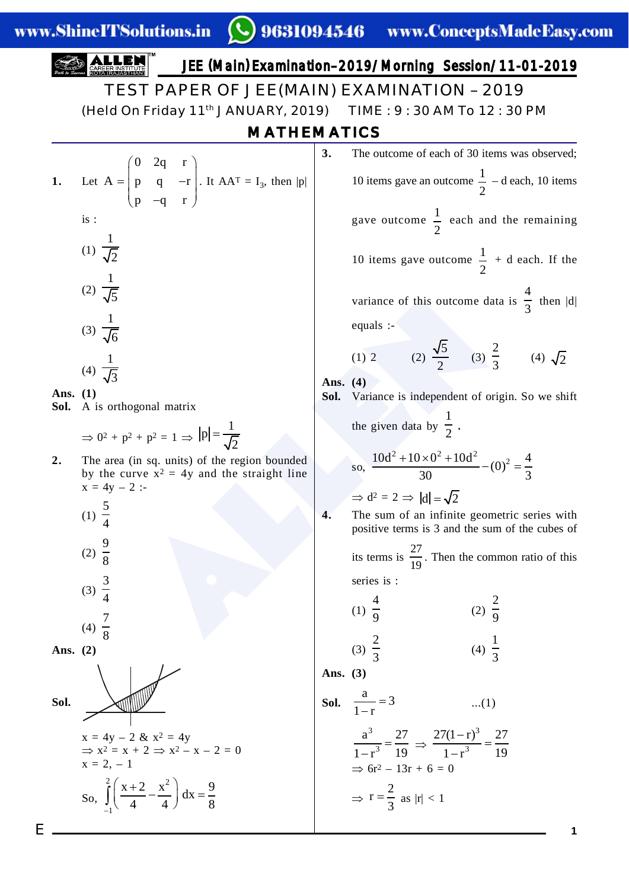#### variance of this outcome data i<br>
equals :-<br>
(1) 2 (2)  $\frac{\sqrt{5}}{2}$  (3)  $\frac{2}{3}$ <br>
(3)  $\frac{2}{3}$ <br>
(3)  $\frac{2}{3}$ <br>
(3)  $\frac{2}{3}$ <br>
(3)  $\frac{2}{3}$ <br>
(3)  $\frac{2}{3}$ <br>
(3)  $\frac{2}{3}$ <br>
(3)  $\frac{2}{3}$ <br>
(3)  $\frac{2}{3}$ <br>
(3)  $\frac{2}{3}$ <br>
(3) E **1** JEE (Main) Examination–2019/Morning Session/11-01-2019 **1.** Let  $0 \quad 2q \quad r$  $A = \begin{vmatrix} p & q & -r \end{vmatrix}$  $p -q$  r  $\begin{pmatrix} 0 & 2q & r \\ r & q & r \end{pmatrix}$  $=$  | p q -r |.  $(p - q r)$ . It  $AA^T = I_3$ , then |p| is : (1)  $\frac{1}{\sqrt{2}}$ (2)  $\frac{1}{\sqrt{5}}$ (3)  $\frac{1}{\sqrt{6}}$ (4)  $\frac{1}{\sqrt{3}}$ **Ans. (1) Sol.** A is orthogonal matrix  $\Rightarrow$  0<sup>2</sup> + p<sup>2</sup> + p<sup>2</sup> = 1  $\Rightarrow$  |p| =  $\frac{1}{L}$ 2 **2.** The area (in sq. units) of the region bounded by the curve  $x^2 = 4y$  and the straight line  $x = 4y - 2$ : (1)  $\frac{5}{4}$ (2)  $\frac{9}{8}$ (3)  $\frac{3}{4}$ (4)  $\frac{7}{8}$ **Ans. (2) Sol.**  $x = 4y - 2 \& x^2 = 4y$  $\Rightarrow$  x<sup>2</sup> = x + 2  $\Rightarrow$  x<sup>2</sup> - x - 2 = 0  $x = 2, -1$ So,  $\overline{a}$  $\left(x+2 \quad x^2\right)$  $\left(\frac{X+2}{4}-\frac{x}{4}\right)dx=\frac{2}{8}$  $\int$  $\frac{x+2}{1} - \frac{x^2}{1} dx = \frac{9}{8}$ 1 4 4 8 MATHEMATICS **3.** The outcome of each of 30 items was observed; 10 items gave an outcome  $\frac{1}{2}$  – d each, 10 items gave outcome  $\frac{1}{2}$  each and the remaining 10 items gave outcome  $\frac{1}{2}$  + d each. If the variance of this outcome data is  $\frac{4}{3}$  then |d| equals :-  $(1) 2 (2)$  $rac{15}{2}$ (3)  $\frac{2}{3}$  (4)  $\sqrt{2}$ **Ans. (4) Sol.** Variance is independent of origin. So we shift the given data by  $\frac{1}{2}$ . so,  $\frac{10d^2 + 10 \times 0^2 + 10d^2}{a^2 - (0)^2} = \frac{4}{3}$  $30 \t\t 3$  $\Rightarrow$  d<sup>2</sup> = 2  $\Rightarrow$  |d| =  $\sqrt{2}$ **4.** The sum of an infinite geometric series with positive terms is 3 and the sum of the cubes of its terms is 27  $\frac{27}{19}$ . Then the common ratio of this series is : (1)  $\frac{4}{9}$ (2)  $\frac{2}{9}$ (3)  $\frac{2}{3}$ (4)  $\frac{1}{3}$ **Ans. (3) Sol.**  $\frac{a}{1-r} = 3$  ...(1)  $rac{a^3}{-r^3} = \frac{27}{19}$  $\frac{1}{1-r^3} = \frac{1}{19} \Rightarrow$  $\frac{(-r)^3}{2}$  =  $\overline{a}$ 3 3  $27(1-r)^3$  27  $1 - r^3$  19  $\Rightarrow$  6r<sup>2</sup> - 13r + 6 = 0  $\Rightarrow$  r =  $\frac{2}{3}$  $\frac{1}{3}$  as  $|r| < 1$ TEST PAPER OF JEE(MAIN) EXAMINATION – 2019 (Held On Friday 11th JANUARY, 2019) TIME : 9 : 30 AM To 12 : 30 PM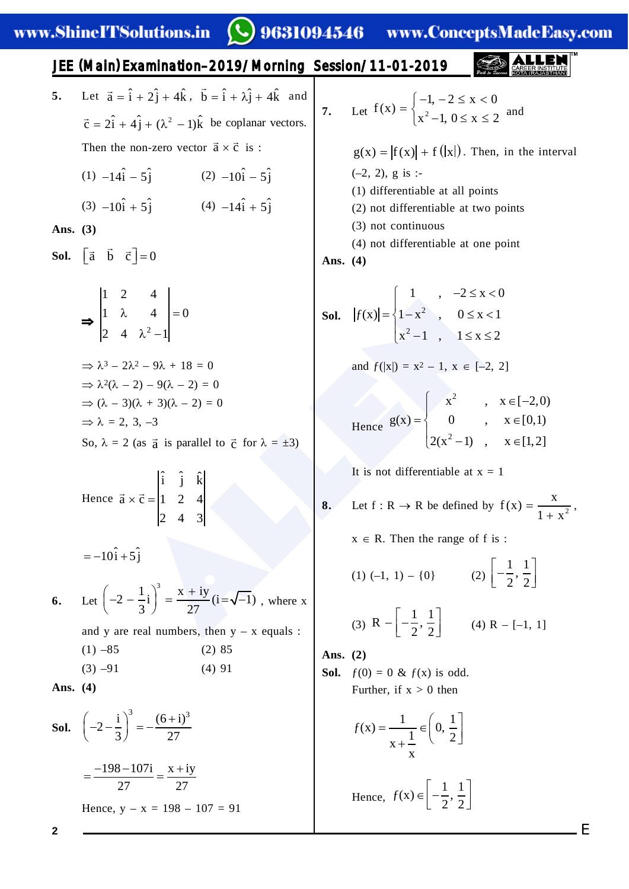.) 9631094546 www.ConceptsMadeEasy.com

JEE (Main) Examination–2019/Morning Session/11-01-2019

- **5.** Let  $\vec{a} = \hat{i} + 2\hat{j} + 4\hat{k}$ ,  $\vec{b} = \hat{i} + \lambda \hat{j} + 4\hat{k}$  and  $\vec{c} = 2\hat{i} + 4\hat{j} + (\lambda^2 - 1)\hat{k}$  be coplanar vectors. Then the non-zero vector  $\vec{a} \times \vec{c}$  is:
	- (1)  $-14\hat{i} 5\hat{j}$  (2)  $-10\hat{i} 5\hat{j}$ (3)  $-10\hat{i} + 5\hat{j}$  (4)  $-14\hat{i} + 5\hat{j}$

**Ans. (3)**

**Sol.**  $\begin{bmatrix} \vec{a} & \vec{b} & \vec{c} \end{bmatrix} = 0$ 

$$
\begin{vmatrix} 1 & 2 & 4 \ 1 & \lambda & 4 \ 2 & 4 & \lambda^2 - 1 \end{vmatrix} = 0
$$
  
\n
$$
\Rightarrow \lambda^3 - 2\lambda^2 - 9\lambda + 18 = 0
$$
  
\n
$$
\Rightarrow \lambda^2(\lambda - 2) - 9(\lambda - 2) = 0
$$
  
\n
$$
\Rightarrow (\lambda - 3)(\lambda + 3)(\lambda - 2) = 0
$$
  
\n
$$
\Rightarrow \lambda = 2, 3, -3
$$
  
\nSo,  $\lambda = 2$  (as  $\vec{a}$  is parallel to  $\vec{c}$  for  $\lambda = \pm 3$ )

Hence  $\vec{a} \times \vec{c} =$  $\hat{i}$   $\hat{j}$   $\hat{k}$  $\vec{a} \times \vec{c} = |1 \ 2 \ 4$ 243

 $=-10\hat{i}+5\hat{j}$ 

**6.** Let  $2 - \frac{1}{2}i$  =  $\frac{x + iy}{2}$  (i =  $\sqrt{-1}$ ) 3 27  $\left(-2-\frac{1}{3}i\right)^3 = \frac{x+iy}{27}(i=\sqrt{-1})$ , where x and y are real numbers, then  $y - x$  equals :  $(1)$  –85 (2) 85

$$
(1) -63
$$
  
(2) 63  
(3) -91  
(4) 91

**Ans. (4)**

**Sol.** 
$$
\left(-2 - \frac{i}{3}\right)^3 = -\frac{(6+i)^3}{27}
$$
  
=  $\frac{-198 - 107i}{27} = \frac{x + iy}{27}$   
Hence,  $y - x = 198 - 107 = 91$ 

4<br>  $\lambda^2 - 1$ <br>  $\lambda^2 - 1$ <br>  $\lambda^2 - 1$ <br>  $\lambda^2 - 1$ <br>  $\lambda^2 - 1$ <br>  $\lambda^2 - 1$ <br>  $\lambda^2 - 1$ <br>  $\lambda^2 - 1$ <br>  $\lambda^2 - 1$ <br>  $\lambda^2 - 1$ <br>  $\lambda^2 - 1$ <br>  $\lambda^2 - 1$ <br>  $\lambda^2 - 1$ <br>  $\lambda^2 - 1$ <br>  $\lambda^2 - 1$ <br>  $\lambda^2 - 1$ <br>  $\lambda^2 - 1$ <br>  $\lambda^2 - 1$ <br>  $\lambda^2 - 1$ <br>  $\lambda^2 - 1$ **7.** Let  $f(x) = \int_{x^2}^{x^2} f(x) dx$  $-1, -2 \le x < 0$  $f(x)$  $x^2 - 1$ ,  $0 \le x \le 2$  $= \begin{cases} -1, -2 \le x < 0 \\ x^2 -1, 0 \le x \le 2 \end{cases}$  and  $g(x) = |f(x)| + f(|x|)$ . Then, in the interval  $(-2, 2)$ , g is :-(1) differentiable at all points (2) not differentiable at two points (3) not continuous (4) not differentiable at one point **Ans. (4)**  $\begin{bmatrix} 1 & 2 \\ 1 & 2 \end{bmatrix}$ ,  $-2 \le x < 0$  $=\begin{cases} 1-x^2, & 0 \le x < 0 \\ x^2-1, & 1 \le x \le 0 \end{cases}$ 1,  $-2 \le x < 0$  $|f(x)| = \{1-x^2, 0 \le x < 1$  $x^2-1$ ,  $1 \le x \le 2$ and  $f(|x|) = x^2 - 1$ ,  $x \in [-2, 2]$ Hence  $=\begin{cases} x^2, & x \in [-2,0) \\ 0, & x \in [0,1) \\ 2(x^2-1), & x \in [1,2] \end{cases}$  $g(x) = \begin{cases} 0, & x \in [0,1) \end{cases}$  $2(x^2-1)$ ,  $x \in [1,2]$ It is not differentiable at  $x = 1$ **8.** Let  $f : R \to R$  be defined by  $f(x) = \frac{R}{1+x^2}$  $f(x) = \frac{x}{x}$  $1 + x$  $=$  $\overline{+}$ ,  $x \in R$ . Then the range of f is :

(1) 
$$
(-1, 1) - \{0\}
$$
 (2)  $\left[-\frac{1}{2}, \frac{1}{2}\right]$ 

(3) 
$$
R - \left[ -\frac{1}{2}, \frac{1}{2} \right]
$$
 (4)  $R - [-1, 1]$ 

**Ans. (2)**

**Sol.**

**Sol.**  $f(0) = 0 \& f(x)$  is odd. Further, if  $x > 0$  then

$$
f(x) = \frac{1}{x + \frac{1}{x}} \in \left(0, \frac{1}{2}\right]
$$

Hence,  $f(x) \in \left[-\frac{1}{2},\frac{1}{2}\right]$  $2^{\degree}$  2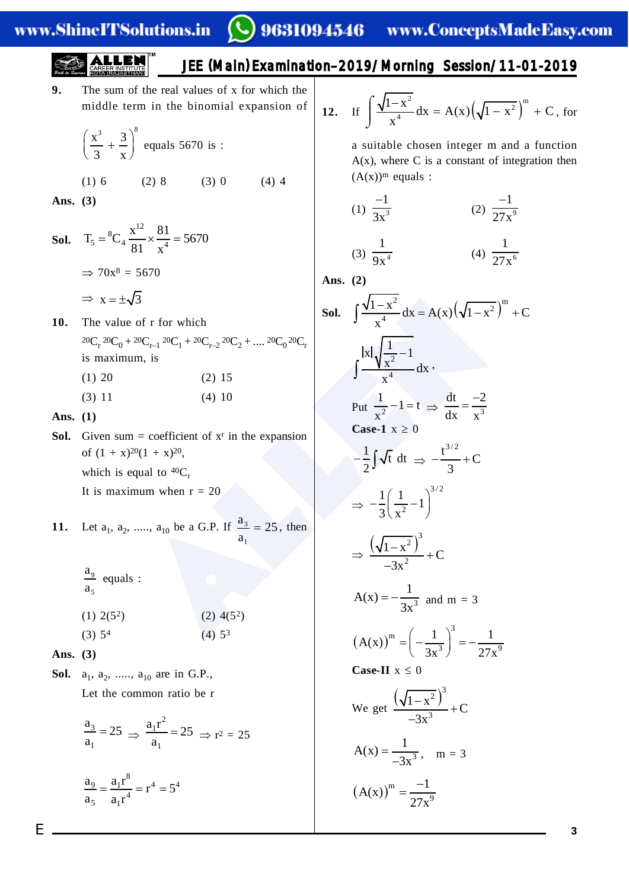# 9631094546 www.ConceptsMadeEasy.com

$$
\sum_{\substack{\longleftarrow\\mathcal{P} \text{ of } \mathcal{E} \text{ for } \mathcal{E} \text{ for } \mathcal{E} \text{ for } \mathcal{E} \text{ for } \mathcal{E} \text{ for } \mathcal{E} \text{ for } \mathcal{E} \text{ for } \mathcal{E} \text{ for } \mathcal{E} \text{ for } \mathcal{E} \text{ for } \mathcal{E} \text{ for } \mathcal{E} \text{ for } \mathcal{E} \text{ for } \mathcal{E} \text{ for } \mathcal{E} \text{ for } \mathcal{E} \text{ for } \mathcal{E} \text{ for } \mathcal{E} \text{ for } \mathcal{E} \text{ for } \mathcal{E} \text{ for } \mathcal{E} \text{ for } \mathcal{E} \text{ for } \mathcal{E} \text{ for } \mathcal{E} \text{ for } \mathcal{E} \text{ for } \mathcal{E} \text{ for } \mathcal{E} \text{ for } \mathcal{E} \text{ for } \mathcal{E} \text{ for } \mathcal{E} \text{ for } \mathcal{E} \text{ for } \mathcal{E} \text{ for } \mathcal{E} \text{ for } \mathcal{E} \text{ for } \mathcal{E} \text{ for } \mathcal{E} \text{ for } \mathcal{E} \text{ for } \mathcal{E} \text{ for } \mathcal{E} \text{ for } \mathcal{E} \text{ for } \mathcal{E} \text{ for } \mathcal{E} \text{ for } \mathcal{E} \text{ for } \mathcal{E} \text{ for } \mathcal{E} \text{ for } \mathcal{E} \text{ for } \mathcal{E} \text{ for } \mathcal{E} \text{ for } \mathcal{E} \text{ for } \mathcal{E} \text{ for } \mathcal{E} \text{ for } \mathcal{E} \text{ for } \mathcal{E} \text{ for } \mathcal{E} \text{ for } \mathcal{E} \text{ for } \mathcal{E} \text{ for } \mathcal{E} \text{ for } \mathcal{E} \text{ for } \mathcal{E} \text{ for } \mathcal{E} \text{ for } \mathcal{E} \text{ for } \mathcal{E} \text{ for } \mathcal{E} \text{ for } \mathcal{E} \text{ for } \mathcal{E} \text{ for } \mathcal{E} \text{ for } \mathcal{E} \text{ for } \math
$$

**9.** The sum of the real values of x for which the middle term in the binomial expansion of

(1) 6 (2) 8 (3) 0 (4) 4

JEE

$$
\left(\frac{x^3}{3} + \frac{3}{x}\right)^8
$$
 equals 5670 is :

**Ans. (3)**

- **Sol.**  $T_5 = {^8C_4} \frac{\lambda}{\gamma} \times \frac{91}{4} =$  $\rm{^{8}C}$   $\rm{x}^{12}$  $T_5 = {}^{8}C_4 \frac{x^{12}}{81} \times \frac{81}{x^4} = 5670$ 81 x  $\Rightarrow$  70x<sup>8</sup> = 5670  $\Rightarrow$  x =  $\pm\sqrt{3}$
- **10.** The value of r for which  ${}^{20}C_{r} {}^{20}C_{0} + {}^{20}C_{r-1} {}^{20}C_{1} + {}^{20}C_{r-2} {}^{20}C_{2} + \dots {}^{20}C_{0} {}^{20}C_{r}$ is maximum, is
	- $(1)$  20  $(2)$  15  $(3)$  11  $(4)$  10
- **Ans. (1)**
- **Sol.** Given sum = coefficient of  $x^r$  in the expansion of  $(1 + x)^{20}(1 + x)^{20}$ , which is equal to  ${}^{40}C_r$ It is maximum when  $r = 20$
- **11.** Let  $a_1, a_2, \dots, a_{10}$  be a G.P. If  $\frac{a_3}{a_3} = 25$  $\frac{3}{1}$ a  $= 25$ , then
	- $\frac{9}{5}$ a<br>a  $rac{a_9}{a_5}$  equals :
	- $(1)$  2(5<sup>2</sup>  $(2)$  4(5<sup>2</sup>)
	- $(3)$  5<sup>4</sup> 4 (4)  $5^3$
- **Ans. (3)**
- **Sol.**  $a_1, a_2, \ldots, a_{10}$  are in G.P., Let the common ratio be r

$$
\frac{a_3}{a_1} = 25 \implies \frac{a_1 r^2}{a_1} = 25 \implies r^2 = 25
$$

$$
\frac{a_9}{a_5} = \frac{a_1 r^8}{a_1 r^4} = r^4 = 5^4
$$

(Main) Examination–2019/Morning Session/11-01-2019

12. If 
$$
\int \frac{\sqrt{1-x^2}}{x^4} dx = A(x) (\sqrt{1-x^2})^m + C
$$
, for

a suitable chosen integer m and a function  $A(x)$ , where C is a constant of integration then  $(A(x))<sup>m</sup>$  equals :

(1) 
$$
\frac{-1}{3x^3}
$$
 (2)  $\frac{-1}{27x^9}$ 

$$
(3) \frac{1}{9x^4} \qquad \qquad (4) \frac{1}{27x^6}
$$

**Ans. (2)**

$$
\frac{1}{3} \text{ of } r \text{ for which}
$$
\n
$$
{}^{20}C_{r-1} {}^{20}C_1 + {}^{20}C_{r-2} {}^{20}C_2 + \dots {}^{20}C_0 {}^{20}C_r
$$
\n
$$
{}^{20}C_{r-1} {}^{20}C_1 + {}^{20}C_{r-2} {}^{20}C_2 + \dots {}^{20}C_0 {}^{20}C_r
$$
\n
$$
{}^{20}C_1
$$
\n
$$
{}^{20}C_1 + {}^{20}C_{r-2} {}^{20}C_2 + \dots {}^{20}C_0 {}^{20}C_r
$$
\n
$$
{}^{20}C_1
$$
\n
$$
{}^{20}C_1 + X^2 {}^{20}C_2 + \dots {}^{20}C_0 {}^{20}C_r
$$
\n
$$
{}^{20}C_1
$$
\n
$$
{}^{20}C_1
$$
\n
$$
{}^{20}C_1 + X^2 {}^{20}C_2 + \dots {}^{20}C_0 {}^{20}C_r
$$
\n
$$
{}^{20}C_1
$$
\n
$$
{}^{20}C_1
$$
\n
$$
{}^{20}C_1
$$
\n
$$
{}^{20}C_1
$$
\n
$$
{}^{20}C_1
$$
\n
$$
{}^{20}C_1
$$
\n
$$
{}^{20}C_2
$$
\n
$$
{}^{20}C_1
$$
\n
$$
{}^{20}C_1
$$
\n
$$
{}^{20}C_2
$$
\n
$$
{}^{20}C_1
$$
\n
$$
{}^{20}C_1
$$
\n
$$
{}^{20}C_1
$$
\n
$$
{}^{20}C_2
$$
\n
$$
{}^{20}C_1
$$
\n
$$
{}^{20}C_1
$$
\n
$$
{}^{20}C_1
$$
\n
$$
{}^{20}C_1
$$
\n
$$
{}^{20}C_1
$$
\n
$$
{}^{20}C_1
$$
\n
$$
{}^{20}C_1
$$
\n

$$
\left(A(x)\right)^{m} = \frac{-1}{27x^{9}}
$$

 $-3x^3$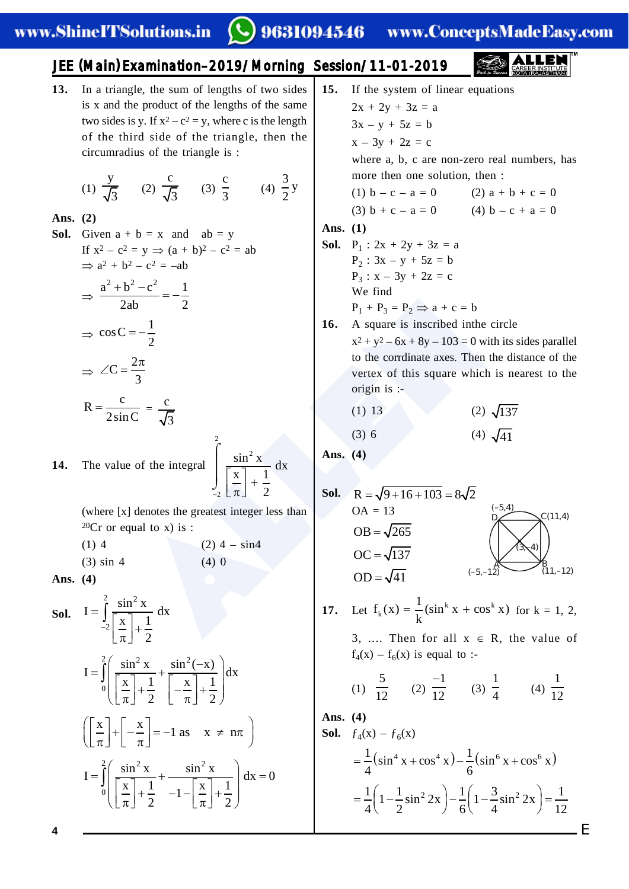### 9631094546

www.ConceptsMadeEasy.com

### JEE (Main) Examination–2019/Morning Session/11-01-2019

**13.** In a triangle, the sum of lengths of two sides is x and the product of the lengths of the same two sides is y. If  $x^2 - c^2 = y$ , where c is the length of the third side of the triangle, then the circumradius of the triangle is :

(1) 
$$
\frac{y}{\sqrt{3}}
$$
 (2)  $\frac{c}{\sqrt{3}}$  (3)  $\frac{c}{3}$  (4)  $\frac{3}{2}y$ 

#### **Ans. (2)**

**Sol.** Given  $a + b = x$  and  $ab = y$ If  $x^2 - c^2 = y \implies (a + b)^2 - c^2 = ab$  $\Rightarrow$   $a^2 + b^2 - c^2 = -ab$  $\Rightarrow$  $\frac{a^2 + b^2 - c^2}{2a} = -\frac{1}{2}$ 2ab 2  $\Rightarrow$  cos C =  $-\frac{1}{2}$ 2  $\Rightarrow$  $\angle C = \frac{2\pi}{2}$ 3  $R = \frac{c}{2 \sin C} = \frac{c}{\sqrt{3}}$ 2

**14.** The value of the integral 2 2  $\frac{\sin^2 x}{\sqrt{2}} dx$  $x$ ]  $1$  $\frac{2}{2}$   $\pi$  2  $\left\lfloor \frac{\mathrm{x}}{\pi} \right\rfloor +$  $\int$ 

> (where [x] denotes the greatest integer less than  ${}^{20}Cr$  or equal to x) is :

(1) 4 (2) 4 – sin4 (3)  $\sin 4$  (4) 0

**Ans. (4)**

**Sol.** 
$$
I = \int_{-2}^{2} \frac{\sin^{2} x}{\left[\frac{x}{\pi}\right] + \frac{1}{2}} dx
$$

$$
I = \int_{0}^{2} \left(\frac{\sin^{2} x}{\left[\frac{x}{\pi}\right] + \frac{1}{2}} + \frac{\sin^{2}(-x)}{\left[-\frac{x}{\pi}\right] + \frac{1}{2}}\right) dx
$$

$$
\left(\left[\frac{x}{\pi}\right] + \left[-\frac{x}{\pi}\right] = -1 \text{ as } x \neq n\pi\right)
$$

$$
I = \int_{0}^{2} \left(\frac{\sin^{2} x}{\left[\frac{x}{\pi}\right] + \frac{1}{2}} + \frac{\sin^{2} x}{-1 - \left[\frac{x}{\pi}\right] + \frac{1}{2}}\right) dx = 0
$$

 $\frac{1}{2}$ <br>  $\frac{1}{2}$ <br>  $\frac{1}{2}$ <br>  $\frac{1}{2}$ <br>  $\frac{1}{2}$ <br>  $\frac{1}{2}$ <br>  $\frac{1}{2}$ <br>  $\frac{1}{2}$ <br>  $\frac{1}{2}$ <br>  $\frac{1}{2}$ <br>  $\frac{1}{2}$ <br>  $\frac{1}{2}$ <br>  $\frac{1}{2}$ <br>  $\frac{1}{2}$ <br>  $\frac{1}{2}$ <br>  $\frac{1}{2}$ <br>  $\frac{1}{2}$ <br>  $\frac{1}{2}$ <br>  $\frac{1}{2}$ <br>  $\frac{1}{2}$ <br>  $2x + 2y + 3z = a$  $3x - y + 5z = b$  $x - 3y + 2z = c$ where a, b, c are non-zero real numbers, has more then one solution, then : (1)  $b - c - a = 0$  (2)  $a + b + c = 0$ (3)  $b + c - a = 0$  (4)  $b - c + a = 0$ **Ans. (1) Sol.**  $P_1$  :  $2x + 2y + 3z = a$  $P_2$ : 3x – y + 5z = b  $P_3: x - 3y + 2z = c$ We find  $P_1 + P_3 = P_2 \Rightarrow a + c = b$ **16.** A square is inscribed inthe circle  $x^{2} + y^{2} - 6x + 8y - 103 = 0$  with its sides parallel to the corrdinate axes. Then the distance of the vertex of this square which is nearest to the origin is :- (1) 13 (2)  $\sqrt{137}$ (3) 6 (4)  $\sqrt{41}$ **Ans. (4)**

**15.** If the system of linear equations

**Sol.** 
$$
R = \sqrt{9 + 16 + 103} = 8\sqrt{2}
$$
  
\nOA = 13  
\nOB =  $\sqrt{265}$   
\nOC =  $\sqrt{137}$   
\nOD =  $\sqrt{41}$   
\n(A)

**17.** Let  $f_k(x) = \frac{1}{k} (\sin^k x + \cos^k x)$  for  $k = 1, 2,$ 

3, .... Then for all  $x \in R$ , the value of  $f_4(x) - f_6(x)$  is equal to :-

(1) 
$$
\frac{5}{12}
$$
 (2)  $\frac{-1}{12}$  (3)  $\frac{1}{4}$  (4)  $\frac{1}{12}$ 

**Ans. (4)**

**Sol.**  $f_4(x) - f_6(x)$  $=\frac{1}{2}(\sin^4 x + \cos^4 x) - \frac{1}{2}(\sin^6 x + \cos^6 x)$  $4 \times 11 \times 10^{10}$  6  $=\frac{1}{4}\left(1-\frac{1}{2}\sin^2 2x\right)-\frac{1}{6}\left(1-\frac{3}{4}\sin^2 2x\right)=\frac{1}{12}$  $4\binom{2}{2}$  6  $4\binom{4}{2}$  12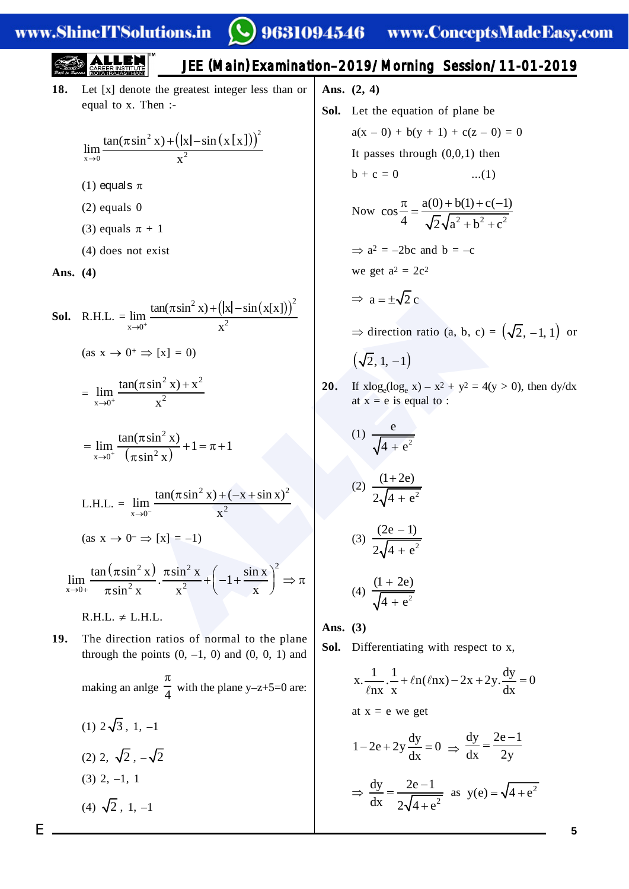# JEE (Main) Examination–2019/Morning Session/11-01-2019

**18.** Let [x] denote the greatest integer less than or equal to x. Then :-

$$
\lim_{x\to 0} \frac{\tan(\pi \sin^2 x) + (\vert x \vert - \sin(x \lfloor x \rfloor))^{2}}{x^2}
$$

- (1) equals  $\pi$
- (2) equals 0
- (3) equals  $\pi + 1$
- (4) does not exist

**Ans. (4)**

**Sol.** R.H.L. = 
$$
\lim_{x \to 0^{+}} \frac{\tan(\pi \sin^{2} x) + (\vert x \vert - \sin(x \vert x \vert))^{2}}{x^{2}}
$$
  
\n
$$
= \lim_{x \to 0^{+}} \frac{\tan(\pi \sin^{2} x) + x^{2}}{x^{2}}
$$
\n
$$
= \lim_{x \to 0^{+}} \frac{\tan(\pi \sin^{2} x) + x^{2}}{(\pi \sin^{2} x)} + 1 = \pi + 1
$$
\n**20.** If  $x \log_{e}(\log_{e} x) - x^{2} + y^{2} = 4(y > 0)$  at  $x = e$  is equal to :  
\n
$$
= \lim_{x \to 0^{+}} \frac{\tan(\pi \sin^{2} x) + 1}{(\pi \sin^{2} x)} + 1 = \pi + 1
$$
\n
$$
= \lim_{x \to 0^{+}} \frac{\tan(\pi \sin^{2} x) + (-x + \sin x)^{2}}{(\pi \sin^{2} x)} + 1 = \pi + 1
$$
\n
$$
= \lim_{x \to 0^{+}} \frac{\tan(\pi \sin^{2} x) + (-x + \sin x)^{2}}{x^{2}}
$$
\n
$$
= \lim_{x \to 0^{+}} \frac{\tan(\pi \sin^{2} x) \cdot \pi \sin^{2} x}{\pi \sin^{2} x} + (-1 + \frac{\sin x}{x})^{2} \Rightarrow \pi
$$
\n
$$
= \lim_{x \to 0^{+}} \frac{\tan(\pi \sin^{2} x) \cdot \pi \sin^{2} x}{\pi \sin^{2} x} + (-1 + \frac{\sin x}{x})^{2} \Rightarrow \pi
$$
\n
$$
= \lim_{x \to 0^{+}} \frac{(\pi \sin^{2} x) \cdot \pi \sin^{2} x}{\pi \sin^{2} x} + (-1 + \frac{\sin x}{x})^{2} \Rightarrow \pi
$$
\n
$$
= \lim_{x \to 0^{+}} \frac{(\pi \sin^{2} x) \cdot \pi \sin^{2} x}{\pi \sin^{2} x} + (-1 + \frac{\sin x}{x})^{2} \Rightarrow \pi
$$
\n
$$
= \lim_{x \to 0^{+}} \frac{(\pi \cos^{2} x) \cdot \pi \sin^{2} x}{\pi \sin^{2} x} + (-1 + \frac{\sin x}{x})^{2} \Rightarrow \pi
$$

$$
= \lim_{x \to 0^+} \frac{\tan(\pi \sin^2 x)}{(\pi \sin^2 x)} + 1 = \pi + 1
$$

L.H.L. = 
$$
\lim_{x \to 0^-} \frac{\tan(\pi \sin^2 x) + (-x + \sin x)^2}{x^2}
$$

 $(as x \rightarrow 0^- \Rightarrow [x] = -1)$ 

$$
\lim_{x \to 0+} \frac{\tan(\pi \sin^2 x)}{\pi \sin^2 x} \cdot \frac{\pi \sin^2 x}{x^2} + \left(-1 + \frac{\sin x}{x}\right)^2 \Rightarrow \pi
$$

 $R.H.L. \neq L.H.L.$ 

- **19.** The direction ratios of normal to the plane through the points  $(0, -1, 0)$  and  $(0, 0, 1)$  and making an anlge  $\frac{\pi}{4}$  with the plane y-z+5=0 are:  $(1)$   $2\sqrt{3}$ , 1,  $-1$ (2) 2,  $\sqrt{2}$ ,  $-\sqrt{2}$ 
	- $(3)$  2,  $-1$ , 1
	- $(4) \sqrt{2}$ , 1, -1

**Ans. (2, 4)**

**Sol.** Let the equation of plane be  
\n
$$
a(x - 0) + b(y + 1) + c(z - 0) = 0
$$
\nIt passes through (0,0,1) then  
\n
$$
b + c = 0
$$
...(1)  
\nNow,  $g = \pi$  and  $a(0) + b(1) + c(-1)$ 

Now 
$$
\cos \frac{\pi}{4} = \frac{a(0) + b(1) + c(-1)}{\sqrt{2}\sqrt{a^2 + b^2 + c^2}}
$$

 $\Rightarrow$  a<sup>2</sup> = -2bc and b = -c

we get 
$$
a^2 = 2c^2
$$

$$
\Rightarrow a = \pm \sqrt{2} c
$$

 $\Rightarrow$  direction ratio (a, b, c) =  $(\sqrt{2}, -1, 1)$  or

$$
\left(\sqrt{2},1,-1\right)
$$

**20.** If  $x\log_e(\log_e x) - x^2 + y^2 = 4(y > 0)$ , then  $\frac{dy}{dx}$ at  $x = e$  is equal to :

(1) 
$$
\frac{e}{\sqrt{4 + e^2}}
$$
  
(2) 
$$
\frac{(1 + 2e)}{2\sqrt{4 + e^2}}
$$
  
(3) 
$$
\frac{(2e - 1)}{2\sqrt{4 + e^2}}
$$
  
(4) 
$$
\frac{(1 + 2e)}{\sqrt{4 + e^2}}
$$

**Ans. (3)**

**Sol.** Differentiating with respect to x,

$$
x \cdot \frac{1}{\ln x} \cdot \frac{1}{x} + \ln(\ln x) - 2x + 2y \cdot \frac{dy}{dx} = 0
$$
  
at  $x = e$  we get
$$
1 - 2e + 2y \frac{dy}{dx} = 0 \implies \frac{dy}{dx} = \frac{2e - 1}{2y}
$$

$$
\implies \frac{dy}{dx} = \frac{2e - 1}{2\sqrt{4 + e^2}} \text{ as } y(e) = \sqrt{4 + e^2}
$$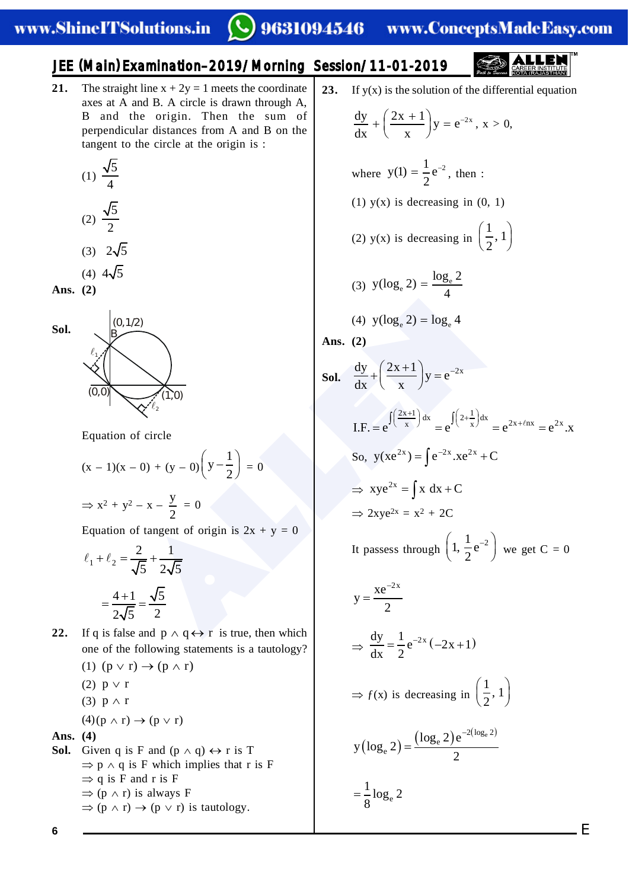# JEE (Main) Examination–2019/Morning Session/11-01-2019

**21.** The straight line  $x + 2y = 1$  meets the coordinate axes at A and B. A circle is drawn through A, B and the origin. Then the sum of perpendicular distances from A and B on the tangent to the circle at the origin is :

$$
(1) \frac{\sqrt{5}}{4}
$$

(2) 
$$
\frac{\sqrt{5}}{2}
$$

- $(3)$   $2\sqrt{5}$
- (4)  $4\sqrt{5}$
- **Ans. (2)**



Equation of circle

$$
(x-1)(x-0) + (y-0)\left(y-\frac{1}{2}\right) = 0
$$

$$
\Rightarrow x^2 + y^2 - x - \frac{y}{2} = 0
$$

Equation of tangent of origin is  $2x + y = 0$ 

$$
\ell_1 + \ell_2 = \frac{2}{\sqrt{5}} + \frac{1}{2\sqrt{5}}
$$

$$
= \frac{4+1}{2\sqrt{5}} = \frac{\sqrt{5}}{2}
$$

**22.** If q is false and  $p \wedge q \leftrightarrow r$  is true, then which one of the following statements is a tautology?

$$
(1) (p \vee r) \rightarrow (p \wedge r)
$$

- (2)  $p \vee r$
- (3)  $p \wedge r$

$$
(4)(p \wedge r) \rightarrow (p \vee r)
$$

### **Ans. (4)**

**Sol.** Given q is F and  $(p \land q) \leftrightarrow r$  is T  $\Rightarrow$  p  $\land$  q is F which implies that r is F  $\Rightarrow$  q is F and r is F  $\Rightarrow$  (p  $\land$  r) is always F  $\Rightarrow$  (p  $\land$  r)  $\rightarrow$  (p  $\lor$  r) is tautology.

**23.** If y(x) is the solution of the differential equation

$$
y(x)
$$
 is the solution of the differential eqe

$$
\frac{dy}{dx} + \left(\frac{2x+1}{x}\right)y = e^{-2x}, x > 0,
$$

where 
$$
y(1) = \frac{1}{2}e^{-2}
$$
, then :

(1)  $y(x)$  is decreasing in  $(0, 1)$ 

(2) y(x) is decreasing in 
$$
\left(\frac{1}{2}, 1\right)
$$

(3) 
$$
y(\log_e 2) = \frac{\log_e 2}{4}
$$

$$
(4) \ y(\log_e 2) = \log_e 4
$$

Ans. 
$$
(2)
$$

**Sol.** 
$$
\frac{dy}{dx} + \left(\frac{2x+1}{x}\right)y = e^{-2x}
$$

I.F. = 
$$
e^{\int \left(\frac{2x+1}{x}\right)dx} = e^{\int \left(2+\frac{1}{x}\right)dx} = e^{2x+\ell nx} = e^{2x} \cdot x
$$

So, 
$$
y(xe^{2x}) = \int e^{-2x} x e^{2x} + C
$$

$$
\Rightarrow xye^{2x} = \int x dx + C
$$

$$
\Rightarrow 2xye^{2x} = x^2 + 2C
$$

It passess through  $\left(1, \frac{1}{2}e^{-2}\right)$  we get  $C = 0$ 

\$//(1 2x xe y 2 dy 1 2x e 2x 1 dx 2 ƒ(x) is decreasing in § · ¨ ¸ © ¹ <sup>1</sup> , 1 2 2 log 2<sup>e</sup> e e log 2 e y log 2 2 e 1 log 2 8

**6**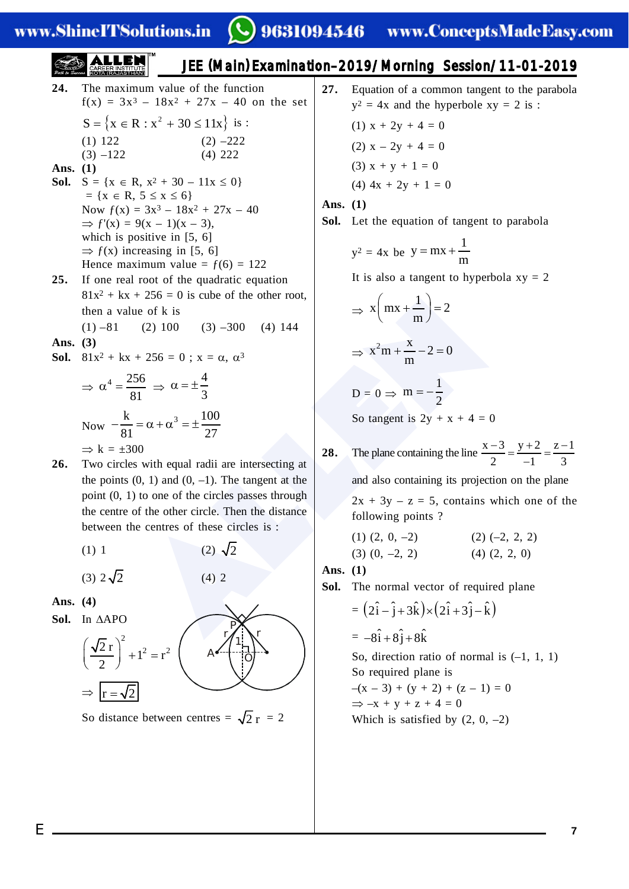www.ShineITSolutions.in

# JEE (Main) Examination–2019/Morning Session/11-01-2019

- + 256 = 0 is cube of the other root,<br>
(2) 100 (3) -300 (4) 144<br>
+ 256 = 0 ;  $x = \alpha$ ,  $\alpha^3$ <br>  $\frac{56}{81} \Rightarrow \alpha = \pm \frac{4}{3}$ <br>
=  $\alpha + \alpha^3 = \pm \frac{100}{27}$ <br>
80<br>
with equal radii are intersecting at<br>
(0, 1) and (0, -1). The tangent at **24.** The maximum value of the function  $f(x) = 3x^3 - 18x^2 + 27x - 40$  on the set  $S = \{x \in R : x^2 + 30 \le 11x\}$  is : (1) 122 (2)  $-222$  $(3)$  –122 (4) 222 **Ans. (1) Sol.**  $S = \{x \in R, x^2 + 30 - 11x \le 0\}$  $= \{x \in R, 5 \le x \le 6\}$ Now  $f(x) = 3x^3 - 18x^2 + 27x - 40$  $\Rightarrow$   $f'(x) = 9(x - 1)(x - 3)$ , which is positive in [5, 6]  $\Rightarrow$  f(x) increasing in [5, 6] Hence maximum value =  $f(6) = 122$ **25.** If one real root of the quadratic equation  $81x^2 + kx + 256 = 0$  is cube of the other root, then a value of k is  $(1) -81$  (2) 100 (3) –300 (4) 144 **Ans. (3) Sol.**  $81x^2 + kx + 256 = 0$ ;  $x = \alpha, \alpha^3$  $\Rightarrow \alpha^4 = \frac{256}{\alpha}$ 81  $\Rightarrow \alpha = \pm \frac{4}{3}$ Now  $-\frac{k}{81} = \alpha + \alpha^3 = \pm \frac{100}{27}$  $\Rightarrow k = \pm 300$
- **26.** Two circles with equal radii are intersecting at the points  $(0, 1)$  and  $(0, -1)$ . The tangent at the point (0, 1) to one of the circles passes through the centre of the other circle. Then the distance between the centres of these circles is :
	- $(1)$  1

(3) 
$$
2\sqrt{2}
$$

**Ans. (4)**

Sol. In  $\triangle$ APO





 $(2) \sqrt{2}$ 

 $(4)$  2

So distance between centres =  $\sqrt{2} r = 2$ 

**27.** Equation of a common tangent to the parabola  $y^2 = 4x$  and the hyperbole  $xy = 2$  is : (1)  $x + 2y + 4 = 0$ (2)  $x - 2y + 4 = 0$ 

- (3)  $x + y + 1 = 0$
- (4)  $4x + 2y + 1 = 0$
- **Ans. (1)**
- **Sol.** Let the equation of tangent to parabola

$$
y^2 = 4x
$$
 be 
$$
y = mx + \frac{1}{m}
$$

It is also a tangent to hyperbola  $xy = 2$ 

$$
\Rightarrow x \left( mx + \frac{1}{m} \right) = 2
$$

$$
\Rightarrow x^2m + \frac{x}{m} - 2 = 0
$$

$$
D = 0 \Rightarrow m = -\frac{1}{2}
$$

So tangent is  $2y + x + 4 = 0$ 

**28.** The plane containing the line  $\frac{x-3}{2} = \frac{y+2}{1} = \frac{z-1}{2}$ 2  $-1$  3  $\frac{-3}{2} = \frac{y+2}{-1} = \frac{z-3}{3}$ 

and also containing its projection on the plane

 $2x + 3y - z = 5$ , contains which one of the following points ?

 $(1)$   $(2, 0, -2)$   $(2)$   $(-2, 2, 2)$  $(3)$   $(0, -2, 2)$   $(4)$   $(2, 2, 0)$ 

**Ans. (1)**

**Sol.** The normal vector of required plane

$$
= (2\hat{i} - \hat{j} + 3\hat{k}) \times (2\hat{i} + 3\hat{j} - \hat{k})
$$
  
= -8\hat{i} + 8\hat{j} + 8\hat{k}

So, direction ratio of normal is  $(-1, 1, 1)$ So required plane is  $-(x-3)+(y+2)+(z-1)=0$  $\Rightarrow$  -x + y + z + 4 = 0

Which is satisfied by  $(2, 0, -2)$